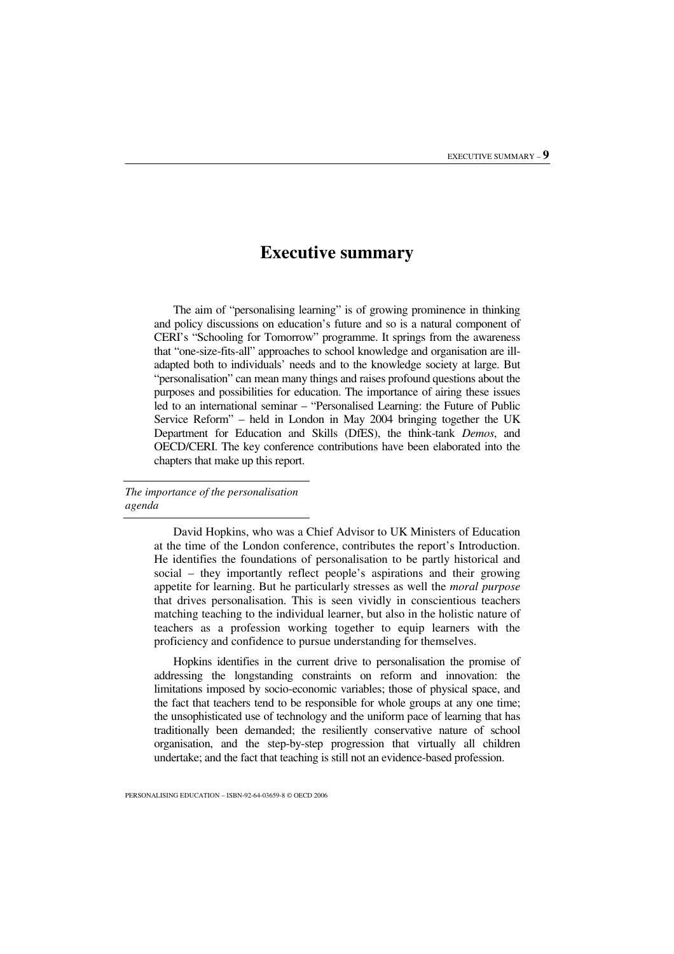## **Executive summary**

The aim of "personalising learning" is of growing prominence in thinking and policy discussions on education's future and so is a natural component of CERI's "Schooling for Tomorrow" programme. It springs from the awareness that "one-size-fits-all" approaches to school knowledge and organisation are illadapted both to individuals' needs and to the knowledge society at large. But "personalisation" can mean many things and raises profound questions about the purposes and possibilities for education. The importance of airing these issues led to an international seminar – "Personalised Learning: the Future of Public Service Reform" – held in London in May 2004 bringing together the UK Department for Education and Skills (DfES), the think-tank *Demos*, and OECD/CERI. The key conference contributions have been elaborated into the chapters that make up this report.

*The importance of the personalisation agenda* 

> David Hopkins, who was a Chief Advisor to UK Ministers of Education at the time of the London conference, contributes the report's Introduction. He identifies the foundations of personalisation to be partly historical and social – they importantly reflect people's aspirations and their growing appetite for learning. But he particularly stresses as well the *moral purpose* that drives personalisation. This is seen vividly in conscientious teachers matching teaching to the individual learner, but also in the holistic nature of teachers as a profession working together to equip learners with the proficiency and confidence to pursue understanding for themselves.

> Hopkins identifies in the current drive to personalisation the promise of addressing the longstanding constraints on reform and innovation: the limitations imposed by socio-economic variables; those of physical space, and the fact that teachers tend to be responsible for whole groups at any one time; the unsophisticated use of technology and the uniform pace of learning that has traditionally been demanded; the resiliently conservative nature of school organisation, and the step-by-step progression that virtually all children undertake; and the fact that teaching is still not an evidence-based profession.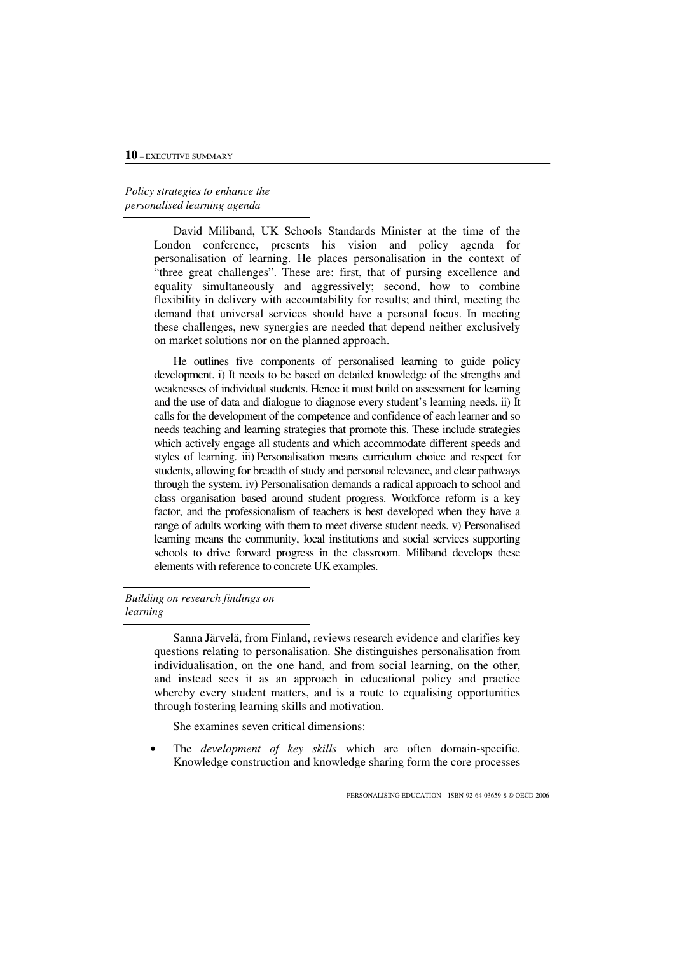## *Policy strategies to enhance the personalised learning agenda*

David Miliband, UK Schools Standards Minister at the time of the London conference, presents his vision and policy agenda for personalisation of learning. He places personalisation in the context of "three great challenges". These are: first, that of pursing excellence and equality simultaneously and aggressively; second, how to combine flexibility in delivery with accountability for results; and third, meeting the demand that universal services should have a personal focus. In meeting these challenges, new synergies are needed that depend neither exclusively on market solutions nor on the planned approach.

He outlines five components of personalised learning to guide policy development. i) It needs to be based on detailed knowledge of the strengths and weaknesses of individual students. Hence it must build on assessment for learning and the use of data and dialogue to diagnose every student's learning needs. ii) It calls for the development of the competence and confidence of each learner and so needs teaching and learning strategies that promote this. These include strategies which actively engage all students and which accommodate different speeds and styles of learning. iii) Personalisation means curriculum choice and respect for students, allowing for breadth of study and personal relevance, and clear pathways through the system. iv) Personalisation demands a radical approach to school and class organisation based around student progress. Workforce reform is a key factor, and the professionalism of teachers is best developed when they have a range of adults working with them to meet diverse student needs. v) Personalised learning means the community, local institutions and social services supporting schools to drive forward progress in the classroom. Miliband develops these elements with reference to concrete UK examples.

## *Building on research findings on learning*

Sanna Järvelä, from Finland, reviews research evidence and clarifies key questions relating to personalisation. She distinguishes personalisation from individualisation, on the one hand, and from social learning, on the other, and instead sees it as an approach in educational policy and practice whereby every student matters, and is a route to equalising opportunities through fostering learning skills and motivation.

She examines seven critical dimensions:

The *development of key skills* which are often domain-specific. Knowledge construction and knowledge sharing form the core processes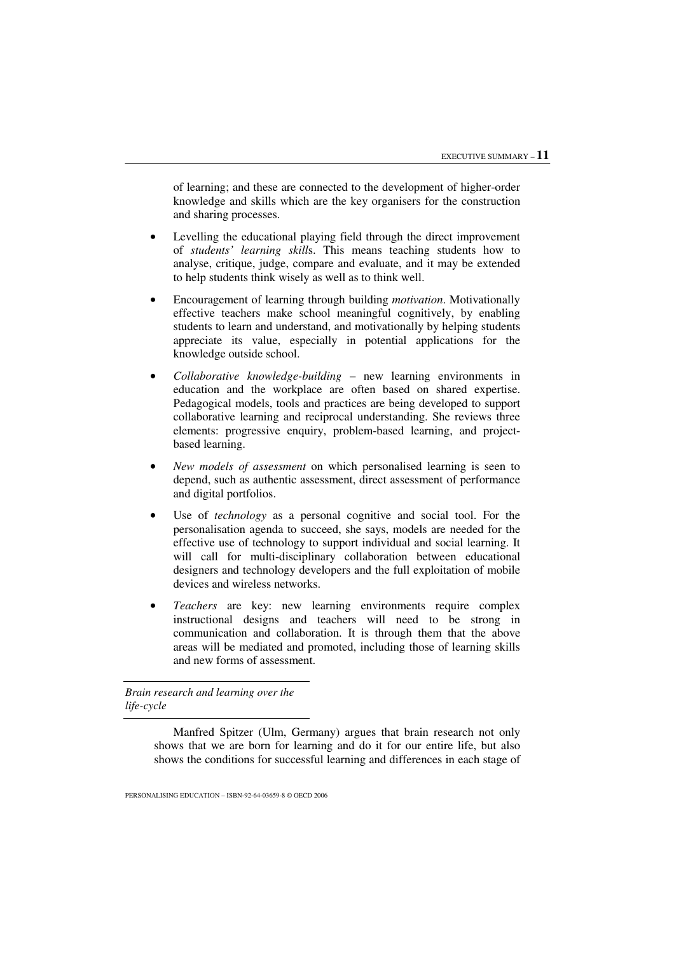of learning; and these are connected to the development of higher-order knowledge and skills which are the key organisers for the construction and sharing processes.

- Levelling the educational playing field through the direct improvement of *students' learning skill*s. This means teaching students how to analyse, critique, judge, compare and evaluate, and it may be extended to help students think wisely as well as to think well.
- Encouragement of learning through building *motivation*. Motivationally effective teachers make school meaningful cognitively, by enabling students to learn and understand, and motivationally by helping students appreciate its value, especially in potential applications for the knowledge outside school.
- *Collaborative knowledge-building* new learning environments in education and the workplace are often based on shared expertise. Pedagogical models, tools and practices are being developed to support collaborative learning and reciprocal understanding. She reviews three elements: progressive enquiry, problem-based learning, and projectbased learning.
- *New models of assessment* on which personalised learning is seen to depend, such as authentic assessment, direct assessment of performance and digital portfolios.
- Use of *technology* as a personal cognitive and social tool. For the personalisation agenda to succeed, she says, models are needed for the effective use of technology to support individual and social learning. It will call for multi-disciplinary collaboration between educational designers and technology developers and the full exploitation of mobile devices and wireless networks.
- *Teachers* are key: new learning environments require complex instructional designs and teachers will need to be strong in communication and collaboration. It is through them that the above areas will be mediated and promoted, including those of learning skills and new forms of assessment.

*Brain research and learning over the life-cycle* 

> Manfred Spitzer (Ulm, Germany) argues that brain research not only shows that we are born for learning and do it for our entire life, but also shows the conditions for successful learning and differences in each stage of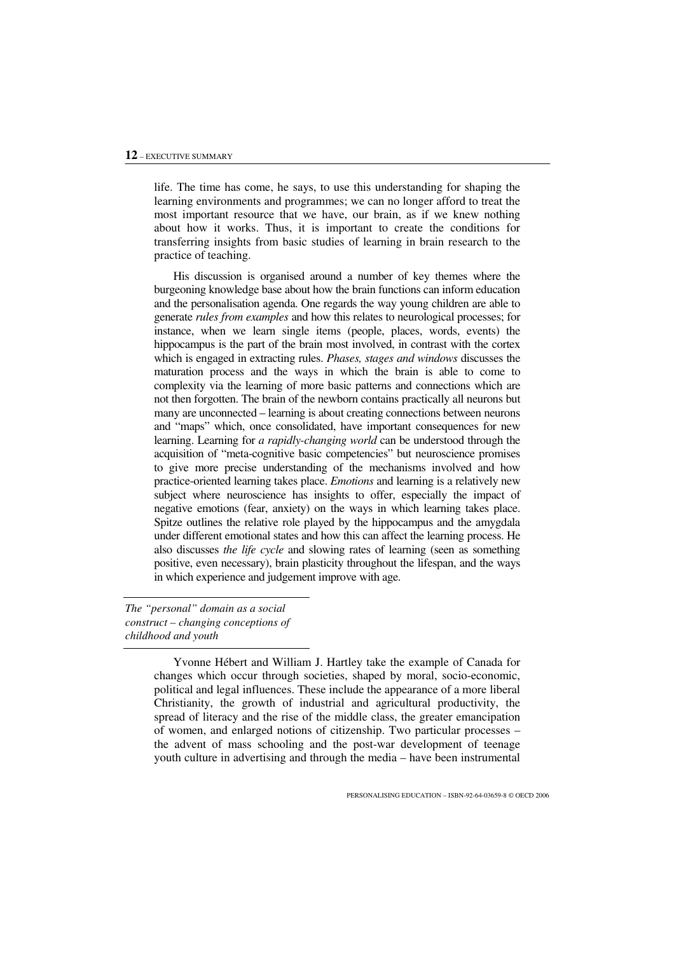life. The time has come, he says, to use this understanding for shaping the learning environments and programmes; we can no longer afford to treat the most important resource that we have, our brain, as if we knew nothing about how it works. Thus, it is important to create the conditions for transferring insights from basic studies of learning in brain research to the practice of teaching.

His discussion is organised around a number of key themes where the burgeoning knowledge base about how the brain functions can inform education and the personalisation agenda. One regards the way young children are able to generate *rules from examples* and how this relates to neurological processes; for instance, when we learn single items (people, places, words, events) the hippocampus is the part of the brain most involved, in contrast with the cortex which is engaged in extracting rules. *Phases, stages and windows* discusses the maturation process and the ways in which the brain is able to come to complexity via the learning of more basic patterns and connections which are not then forgotten. The brain of the newborn contains practically all neurons but many are unconnected – learning is about creating connections between neurons and "maps" which, once consolidated, have important consequences for new learning. Learning for *a rapidly-changing world* can be understood through the acquisition of "meta-cognitive basic competencies" but neuroscience promises to give more precise understanding of the mechanisms involved and how practice-oriented learning takes place. *Emotions* and learning is a relatively new subject where neuroscience has insights to offer, especially the impact of negative emotions (fear, anxiety) on the ways in which learning takes place. Spitze outlines the relative role played by the hippocampus and the amygdala under different emotional states and how this can affect the learning process. He also discusses *the life cycle* and slowing rates of learning (seen as something positive, even necessary), brain plasticity throughout the lifespan, and the ways in which experience and judgement improve with age.

*The "personal" domain as a social construct – changing conceptions of childhood and youth* 

> Yvonne Hébert and William J. Hartley take the example of Canada for changes which occur through societies, shaped by moral, socio-economic, political and legal influences. These include the appearance of a more liberal Christianity, the growth of industrial and agricultural productivity, the spread of literacy and the rise of the middle class, the greater emancipation of women, and enlarged notions of citizenship. Two particular processes – the advent of mass schooling and the post-war development of teenage youth culture in advertising and through the media – have been instrumental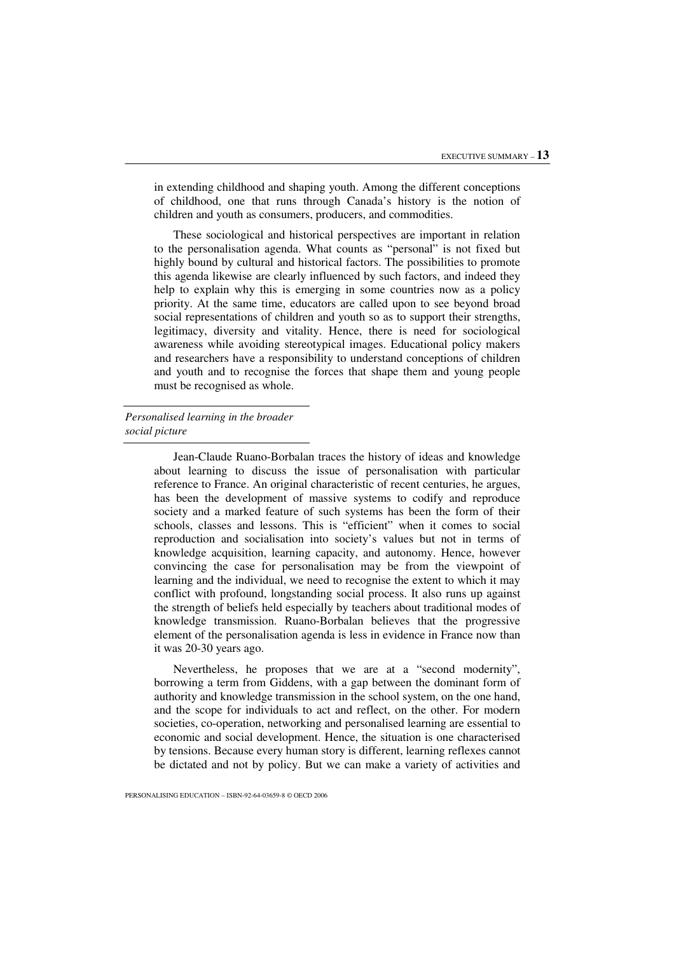in extending childhood and shaping youth. Among the different conceptions of childhood, one that runs through Canada's history is the notion of children and youth as consumers, producers, and commodities.

These sociological and historical perspectives are important in relation to the personalisation agenda. What counts as "personal" is not fixed but highly bound by cultural and historical factors. The possibilities to promote this agenda likewise are clearly influenced by such factors, and indeed they help to explain why this is emerging in some countries now as a policy priority. At the same time, educators are called upon to see beyond broad social representations of children and youth so as to support their strengths, legitimacy, diversity and vitality. Hence, there is need for sociological awareness while avoiding stereotypical images. Educational policy makers and researchers have a responsibility to understand conceptions of children and youth and to recognise the forces that shape them and young people must be recognised as whole.

## *Personalised learning in the broader social picture*

Jean-Claude Ruano-Borbalan traces the history of ideas and knowledge about learning to discuss the issue of personalisation with particular reference to France. An original characteristic of recent centuries, he argues, has been the development of massive systems to codify and reproduce society and a marked feature of such systems has been the form of their schools, classes and lessons. This is "efficient" when it comes to social reproduction and socialisation into society's values but not in terms of knowledge acquisition, learning capacity, and autonomy. Hence, however convincing the case for personalisation may be from the viewpoint of learning and the individual, we need to recognise the extent to which it may conflict with profound, longstanding social process. It also runs up against the strength of beliefs held especially by teachers about traditional modes of knowledge transmission. Ruano-Borbalan believes that the progressive element of the personalisation agenda is less in evidence in France now than it was 20-30 years ago.

Nevertheless, he proposes that we are at a "second modernity", borrowing a term from Giddens, with a gap between the dominant form of authority and knowledge transmission in the school system, on the one hand, and the scope for individuals to act and reflect, on the other. For modern societies, co-operation, networking and personalised learning are essential to economic and social development. Hence, the situation is one characterised by tensions. Because every human story is different, learning reflexes cannot be dictated and not by policy. But we can make a variety of activities and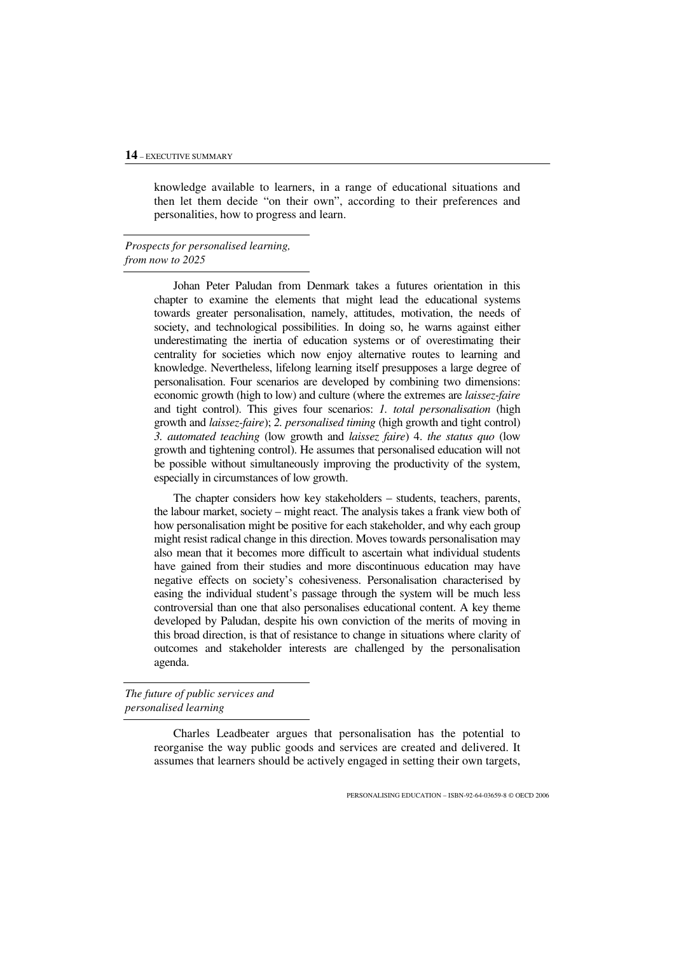knowledge available to learners, in a range of educational situations and then let them decide "on their own", according to their preferences and personalities, how to progress and learn.

*Prospects for personalised learning, from now to 2025* 

> Johan Peter Paludan from Denmark takes a futures orientation in this chapter to examine the elements that might lead the educational systems towards greater personalisation, namely, attitudes, motivation, the needs of society, and technological possibilities. In doing so, he warns against either underestimating the inertia of education systems or of overestimating their centrality for societies which now enjoy alternative routes to learning and knowledge. Nevertheless, lifelong learning itself presupposes a large degree of personalisation. Four scenarios are developed by combining two dimensions: economic growth (high to low) and culture (where the extremes are *laissez-faire* and tight control). This gives four scenarios: *1. total personalisation* (high growth and *laissez-faire*); *2. personalised timing* (high growth and tight control) *3. automated teaching* (low growth and *laissez faire*) 4. *the status quo* (low growth and tightening control). He assumes that personalised education will not be possible without simultaneously improving the productivity of the system, especially in circumstances of low growth.

> The chapter considers how key stakeholders – students, teachers, parents, the labour market, society – might react. The analysis takes a frank view both of how personalisation might be positive for each stakeholder, and why each group might resist radical change in this direction. Moves towards personalisation may also mean that it becomes more difficult to ascertain what individual students have gained from their studies and more discontinuous education may have negative effects on society's cohesiveness. Personalisation characterised by easing the individual student's passage through the system will be much less controversial than one that also personalises educational content. A key theme developed by Paludan, despite his own conviction of the merits of moving in this broad direction, is that of resistance to change in situations where clarity of outcomes and stakeholder interests are challenged by the personalisation agenda.

*The future of public services and personalised learning* 

> Charles Leadbeater argues that personalisation has the potential to reorganise the way public goods and services are created and delivered. It assumes that learners should be actively engaged in setting their own targets,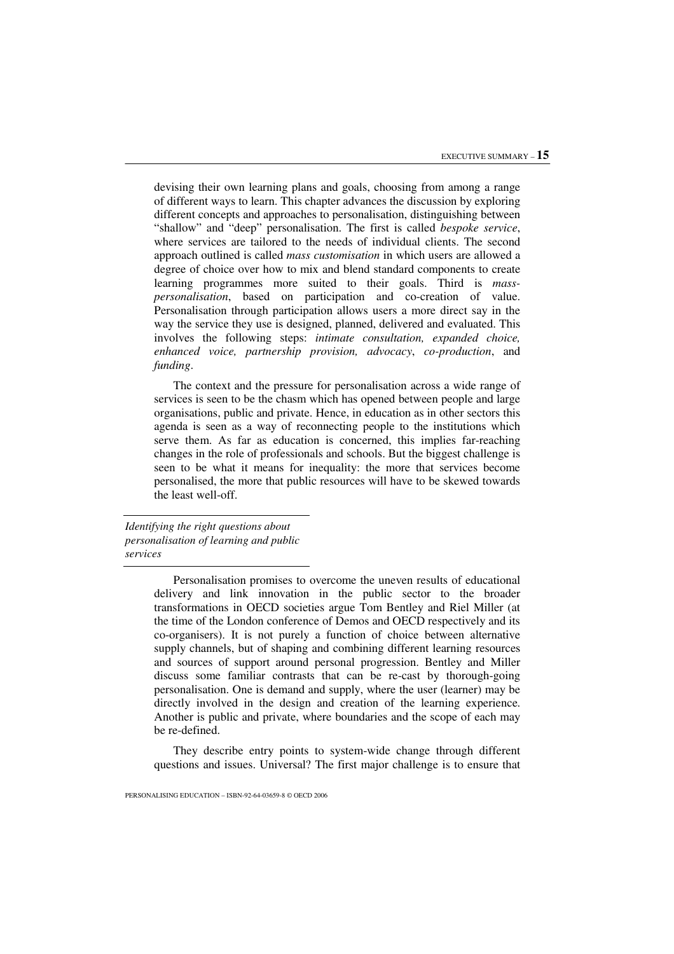devising their own learning plans and goals, choosing from among a range of different ways to learn. This chapter advances the discussion by exploring different concepts and approaches to personalisation, distinguishing between "shallow" and "deep" personalisation. The first is called *bespoke service*, where services are tailored to the needs of individual clients. The second approach outlined is called *mass customisation* in which users are allowed a degree of choice over how to mix and blend standard components to create learning programmes more suited to their goals. Third is *masspersonalisation*, based on participation and co-creation of value. Personalisation through participation allows users a more direct say in the way the service they use is designed, planned, delivered and evaluated. This involves the following steps: *intimate consultation, expanded choice, enhanced voice, partnership provision, advocacy*, *co-production*, and *funding*.

The context and the pressure for personalisation across a wide range of services is seen to be the chasm which has opened between people and large organisations, public and private. Hence, in education as in other sectors this agenda is seen as a way of reconnecting people to the institutions which serve them. As far as education is concerned, this implies far-reaching changes in the role of professionals and schools. But the biggest challenge is seen to be what it means for inequality: the more that services become personalised, the more that public resources will have to be skewed towards the least well-off.

*Identifying the right questions about personalisation of learning and public services* 

> Personalisation promises to overcome the uneven results of educational delivery and link innovation in the public sector to the broader transformations in OECD societies argue Tom Bentley and Riel Miller (at the time of the London conference of Demos and OECD respectively and its co-organisers). It is not purely a function of choice between alternative supply channels, but of shaping and combining different learning resources and sources of support around personal progression. Bentley and Miller discuss some familiar contrasts that can be re-cast by thorough-going personalisation. One is demand and supply, where the user (learner) may be directly involved in the design and creation of the learning experience. Another is public and private, where boundaries and the scope of each may be re-defined.

> They describe entry points to system-wide change through different questions and issues. Universal? The first major challenge is to ensure that